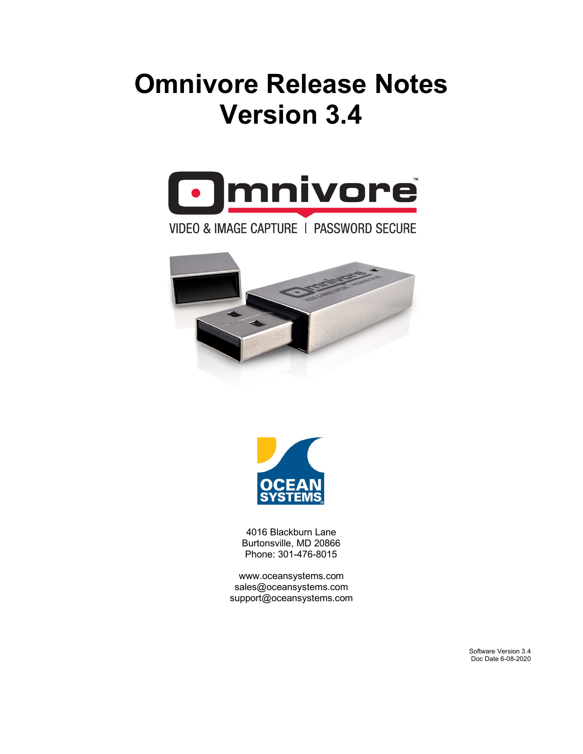# **Omnivore Release Notes Version 3.4**



### VIDEO & IMAGE CAPTURE | PASSWORD SECURE





4016 Blackburn Lane Burtonsville, MD 20866 Phone: 301-476-8015

[www.oceansystems.com](http://www.oceansystems.com/) sales@oceansystems.com support@oceansystems.com

> Software Version 3.4 Doc Date 6-08-2020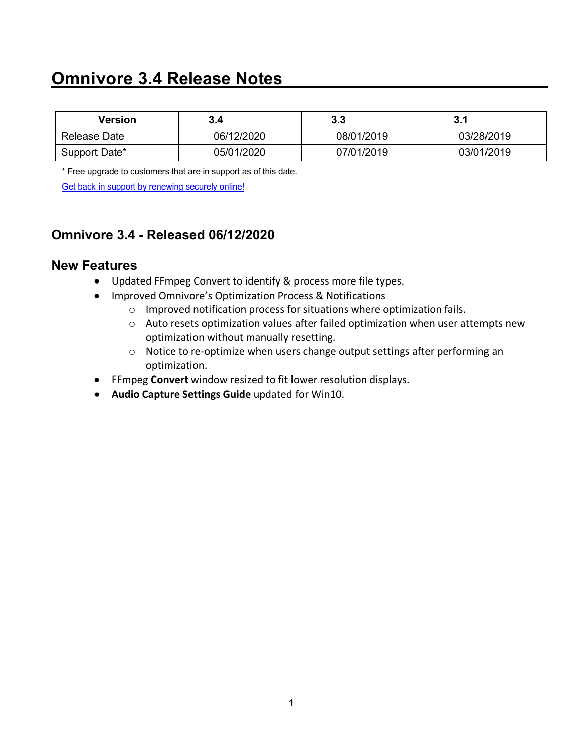# **Omnivore 3.4 Release Notes**

| Version       | 3.4        | 3.3        | 3.1        |
|---------------|------------|------------|------------|
| Release Date  | 06/12/2020 | 08/01/2019 | 03/28/2019 |
| Support Date* | 05/01/2020 | 07/01/2019 | 03/01/2019 |

\* Free upgrade to customers that are in support as of this date.

[Get back in support by renewing securely online!](https://store.oceansystems.com/product/omnivore-support-contract-1-year/)

### **Omnivore 3.4 - Released 06/12/2020**

#### **New Features**

- Updated FFmpeg Convert to identify & process more file types.
- Improved Omnivore's Optimization Process & Notifications
	- o Improved notification process for situations where optimization fails.
	- o Auto resets optimization values after failed optimization when user attempts new optimization without manually resetting.
	- o Notice to re-optimize when users change output settings after performing an optimization.
- FFmpeg **Convert** window resized to fit lower resolution displays.
- **Audio Capture Settings Guide** updated for Win10.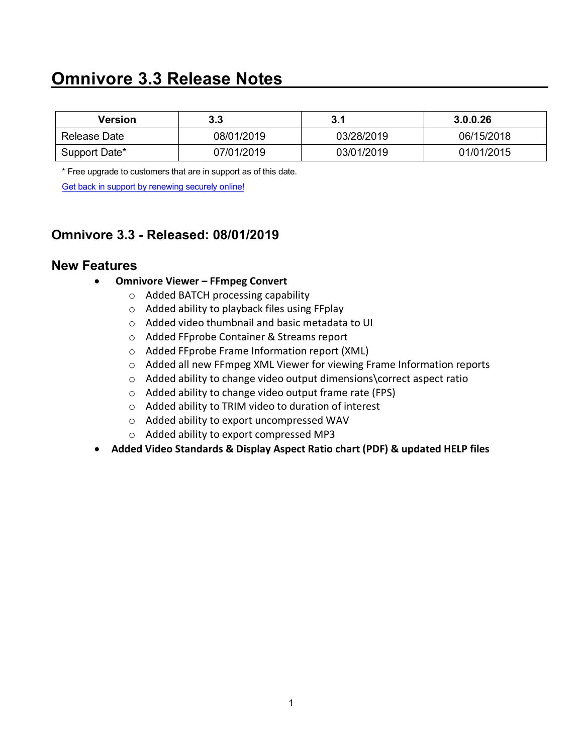# **Omnivore 3.3 Release Notes**

| Version       | 3.3        | 3.1        | 3.0.0.26   |
|---------------|------------|------------|------------|
| Release Date  | 08/01/2019 | 03/28/2019 | 06/15/2018 |
| Support Date* | 07/01/2019 | 03/01/2019 | 01/01/2015 |

\* Free upgrade to customers that are in support as of this date.

[Get back in support by renewing securely online!](https://store.oceansystems.com/product/omnivore-support-contract-1-year/)

### **Omnivore 3.3 - Released: 08/01/2019**

### **New Features**

- **Omnivore Viewer – FFmpeg Convert**
	- o Added BATCH processing capability
	- o Added ability to playback files using FFplay
	- o Added video thumbnail and basic metadata to UI
	- o Added FFprobe Container & Streams report
	- o Added FFprobe Frame Information report (XML)
	- o Added all new FFmpeg XML Viewer for viewing Frame Information reports
	- o Added ability to change video output dimensions\correct aspect ratio
	- o Added ability to change video output frame rate (FPS)
	- o Added ability to TRIM video to duration of interest
	- o Added ability to export uncompressed WAV
	- o Added ability to export compressed MP3
- **Added Video Standards & Display Aspect Ratio chart (PDF) & updated HELP files**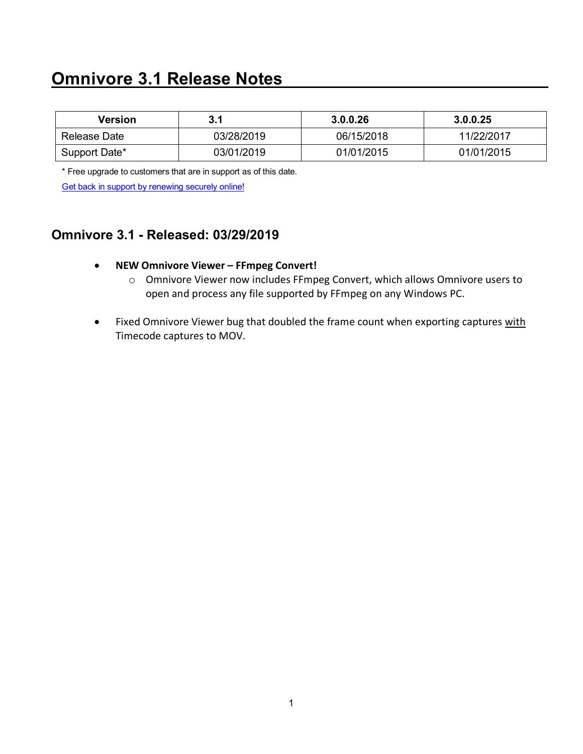# **Omnivore 3.1 Release Notes**

| Version       | 3.1        | 3.0.0.26   | 3.0.0.25   |
|---------------|------------|------------|------------|
| Release Date  | 03/28/2019 | 06/15/2018 | 11/22/2017 |
| Support Date* | 03/01/2019 | 01/01/2015 | 01/01/2015 |

\* Free upgrade to customers that are in support as of this date.

[Get back in support by renewing securely online!](https://store.oceansystems.com/product/omnivore-support-contract-1-year/)

### **Omnivore 3.1 - Released: 03/29/2019**

- **NEW Omnivore Viewer – FFmpeg Convert!**
	- o Omnivore Viewer now includes FFmpeg Convert, which allows Omnivore users to open and process any file supported by FFmpeg on any Windows PC.
- Fixed Omnivore Viewer bug that doubled the frame count when exporting captures with Timecode captures to MOV.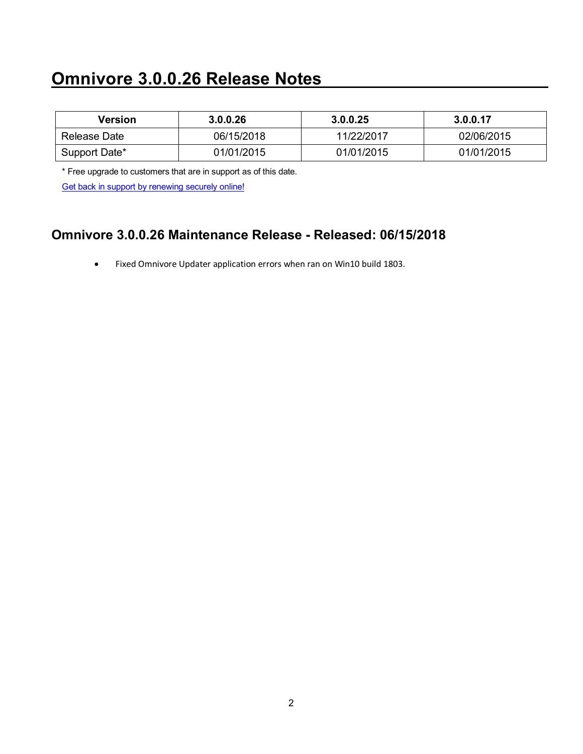# **Omnivore 3.0.0.26 Release Notes**

| Version       | 3.0.0.26   | 3.0.0.25   | 3.0.0.17   |
|---------------|------------|------------|------------|
| Release Date  | 06/15/2018 | 11/22/2017 | 02/06/2015 |
| Support Date* | 01/01/2015 | 01/01/2015 | 01/01/2015 |

\* Free upgrade to customers that are in support as of this date.

[Get back in support by renewing securely online!](https://store.oceansystems.com/product/omnivore-support-contract-1-year/)

### **Omnivore 3.0.0.26 Maintenance Release - Released: 06/15/2018**

• Fixed Omnivore Updater application errors when ran on Win10 build 1803.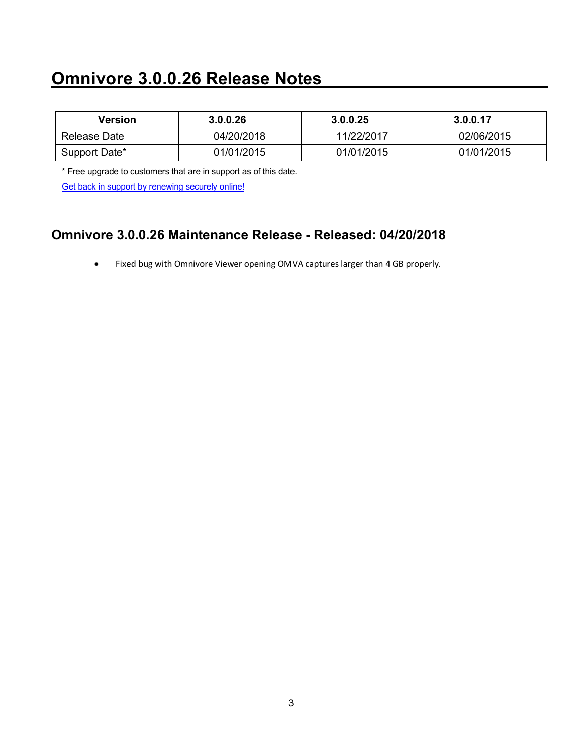# **Omnivore 3.0.0.26 Release Notes**

| Version       | 3.0.0.26   | 3.0.0.25   | 3.0.0.17   |
|---------------|------------|------------|------------|
| Release Date  | 04/20/2018 | 11/22/2017 | 02/06/2015 |
| Support Date* | 01/01/2015 | 01/01/2015 | 01/01/2015 |

\* Free upgrade to customers that are in support as of this date.

[Get back in support by renewing securely online!](https://store.oceansystems.com/product/omnivore-support-contract-1-year/)

### **Omnivore 3.0.0.26 Maintenance Release - Released: 04/20/2018**

• Fixed bug with Omnivore Viewer opening OMVA captures larger than 4 GB properly.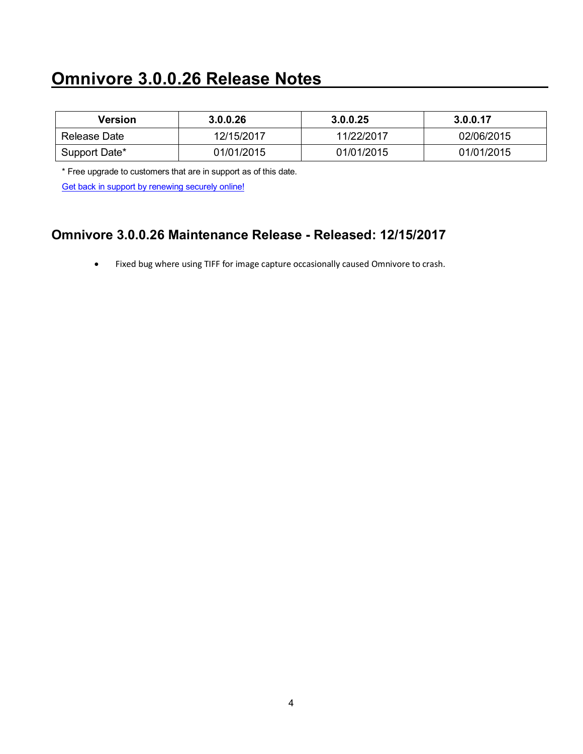# **Omnivore 3.0.0.26 Release Notes**

| Version       | 3.0.0.26   | 3.0.0.25   | 3.0.0.17   |
|---------------|------------|------------|------------|
| Release Date  | 12/15/2017 | 11/22/2017 | 02/06/2015 |
| Support Date* | 01/01/2015 | 01/01/2015 | 01/01/2015 |

\* Free upgrade to customers that are in support as of this date.

[Get back in support by renewing securely online!](https://store.oceansystems.com/product/omnivore-support-contract-1-year/)

### **Omnivore 3.0.0.26 Maintenance Release - Released: 12/15/2017**

• Fixed bug where using TIFF for image capture occasionally caused Omnivore to crash.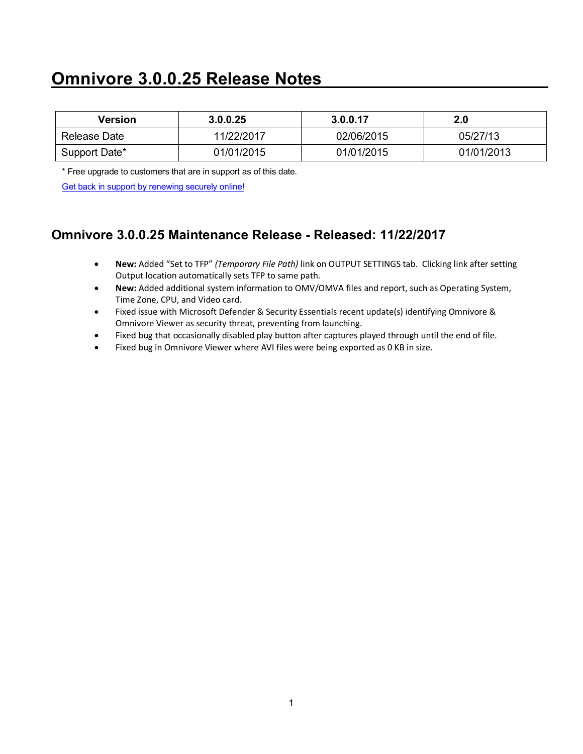# **Omnivore 3.0.0.25 Release Notes**

| Version       | 3.0.0.25   | 3.0.0.17   | 2.0        |
|---------------|------------|------------|------------|
| Release Date  | 11/22/2017 | 02/06/2015 | 05/27/13   |
| Support Date* | 01/01/2015 | 01/01/2015 | 01/01/2013 |

\* Free upgrade to customers that are in support as of this date.

[Get back in support by renewing securely online!](https://store.oceansystems.com/product/omnivore-support-contract-1-year/)

### **Omnivore 3.0.0.25 Maintenance Release - Released: 11/22/2017**

- **New:** Added "Set to TFP" *(Temporary File Path)* link on OUTPUT SETTINGS tab. Clicking link after setting Output location automatically sets TFP to same path.
- **New:** Added additional system information to OMV/OMVA files and report, such as Operating System, Time Zone, CPU, and Video card.
- Fixed issue with Microsoft Defender & Security Essentials recent update(s) identifying Omnivore & Omnivore Viewer as security threat, preventing from launching.
- Fixed bug that occasionally disabled play button after captures played through until the end of file.
- Fixed bug in Omnivore Viewer where AVI files were being exported as 0 KB in size.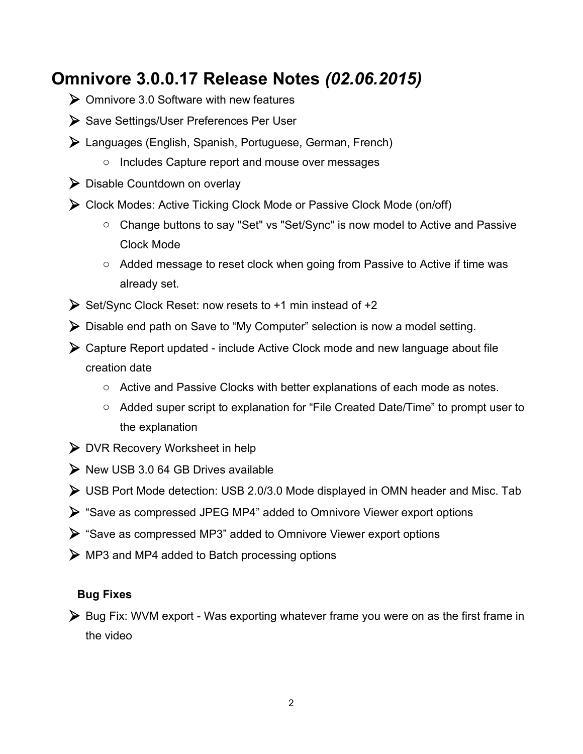## **Omnivore 3.0.0.17 Release Notes** *(02.06.2015)*

- $\triangleright$  Omnivore 3.0 Software with new features
- ▶ Save Settings/User Preferences Per User
- Languages (English, Spanish, Portuguese, German, French)
	- o Includes Capture report and mouse over messages
- Disable Countdown on overlay
- Clock Modes: Active Ticking Clock Mode or Passive Clock Mode (on/off)
	- o Change buttons to say "Set" vs "Set/Sync" is now model to Active and Passive Clock Mode
	- o Added message to reset clock when going from Passive to Active if time was already set.
- $\triangleright$  Set/Sync Clock Reset: now resets to +1 min instead of +2
- Disable end path on Save to "My Computer" selection is now a model setting.
- Capture Report updated include Active Clock mode and new language about file creation date
	- o Active and Passive Clocks with better explanations of each mode as notes.
	- o Added super script to explanation for "File Created Date/Time" to prompt user to the explanation
- DVR Recovery Worksheet in help
- $\triangleright$  New USB 3.0 64 GB Drives available
- USB Port Mode detection: USB 2.0/3.0 Mode displayed in OMN header and Misc. Tab
- "Save as compressed JPEG MP4" added to Omnivore Viewer export options
- "Save as compressed MP3" added to Omnivore Viewer export options
- MP3 and MP4 added to Batch processing options

#### **Bug Fixes**

▶ Bug Fix: WVM export - Was exporting whatever frame you were on as the first frame in the video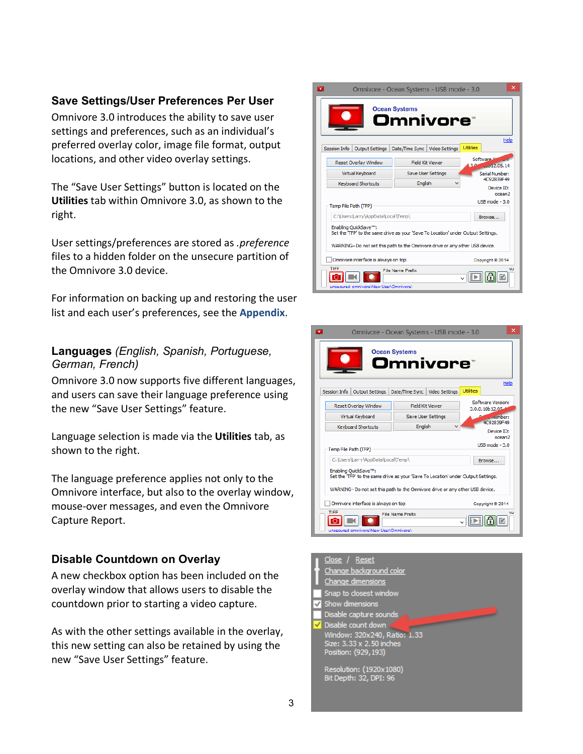#### **Save Settings/User Preferences Per User**

Omnivore 3.0 introduces the ability to save user settings and preferences, such as an individual's preferred overlay color, image file format, output locations, and other video overlay settings.

The "Save User Settings" button is located on the **Utilities** tab within Omnivore 3.0, as shown to the right.

User settings/preferences are stored as *.preference* files to a hidden folder on the unsecure partition of the Omnivore 3.0 device.

For information on backing up and restoring the user list and each user's preferences, see the **Appendix**.

#### **Languages** *(English, Spanish, Portuguese, German, French)*

Omnivore 3.0 now supports five different languages, and users can save their language preference using the new "Save User Settings" feature.

Language selection is made via the **Utilities** tab, as shown to the right.

The language preference applies not only to the Omnivore interface, but also to the overlay window, mouse-over messages, and even the Omnivore Capture Report.

#### **Disable Countdown on Overlay**

A new checkbox option has been included on the overlay window that allows users to disable the countdown prior to starting a video capture.

As with the other settings available in the overlay, this new setting can also be retained by using the new "Save User Settings" feature.





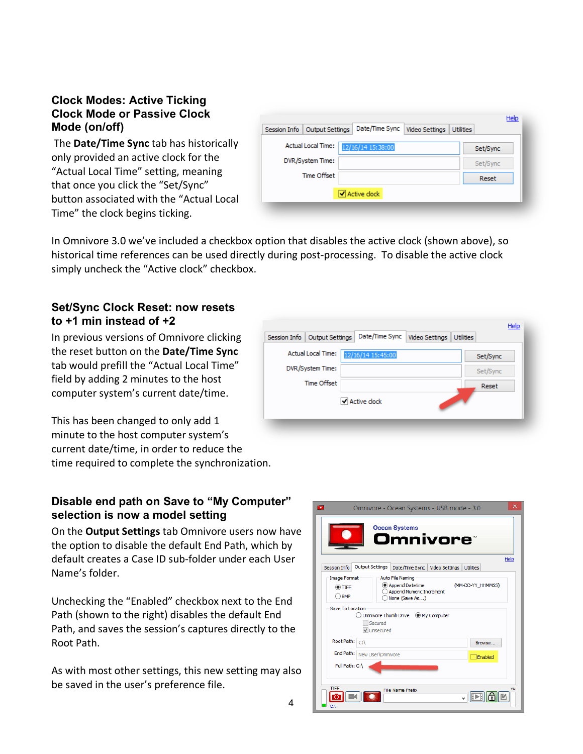#### **Clock Modes: Active Ticking Clock Mode or Passive Clock Mode (on/off)**

The **Date/Time Sync** tab has historically only provided an active clock for the "Actual Local Time" setting, meaning that once you click the "Set/Sync" button associated with the "Actual Local Time" the clock begins ticking.

|                    | Video Settings<br>Output Settings | <b>Utilities</b> |
|--------------------|-----------------------------------|------------------|
| Actual Local Time: | 12/16/14 15:38:00                 | Set/Sync         |
| DVR/System Time:   |                                   | Set/Sync         |
| <b>Time Offset</b> |                                   | Reset            |

In Omnivore 3.0 we've included a checkbox option that disables the active clock (shown above), so historical time references can be used directly during post-processing. To disable the active clock simply uncheck the "Active clock" checkbox.

#### **Set/Sync Clock Reset: now resets to +1 min instead of +2**

In previous versions of Omnivore clicking the reset button on the **Date/Time Sync** tab would prefill the "Actual Local Time" field by adding 2 minutes to the host computer system's current date/time.

This has been changed to only add 1 minute to the host computer system's current date/time, in order to reduce the time required to complete the synchronization.

#### **Disable end path on Save to "My Computer" selection is now a model setting**

On the **Output Settings** tab Omnivore users now have the option to disable the default End Path, which by default creates a Case ID sub-folder under each User Name's folder.

Unchecking the "Enabled" checkbox next to the End Path (shown to the right) disables the default End Path, and saves the session's captures directly to the Root Path.

As with most other settings, this new setting may also be saved in the user's preference file.

| Session Info<br><b>Output Settings</b> | Date/Time Sync<br>Video Settings | <b>Utilities</b> |
|----------------------------------------|----------------------------------|------------------|
| <b>Actual Local Time:</b>              | 12/16/14 15:45:00                | Set/Sync         |
| DVR/System Time:                       |                                  | Set/Sync         |
| <b>Time Offset</b>                     |                                  | Reset            |
|                                        | Active clock                     |                  |

| o                                          | ×<br>Omnivore - Ocean Systems - USB mode - 3.0                                                                       |
|--------------------------------------------|----------------------------------------------------------------------------------------------------------------------|
|                                            | <b>Ocean Systems</b><br>Omnivore®                                                                                    |
|                                            | Help                                                                                                                 |
| Session Info                               | <b>Output Settings</b><br>Date/Time Sync<br>Video Settings<br><b>Utilities</b>                                       |
| <b>Image Format</b><br>$\odot$ TIFF<br>BMP | <b>Auto File Naming</b><br>Append Datetime<br>(MM-DD-YY HHMMSS)<br><b>Append Numeric Increment</b><br>None (Save As) |
| Save To Location                           | Omnivore Thumb Drive (a) My Computer<br>Secured<br>V Unsecured                                                       |
| Root Path: C:\                             | Browse                                                                                                               |
|                                            | End Path: New User\Omnivore<br>Enabled                                                                               |
| Full Path: C:\<br>TIFF                     | vu<br><b>File Name Prefix</b>                                                                                        |
| C:\                                        |                                                                                                                      |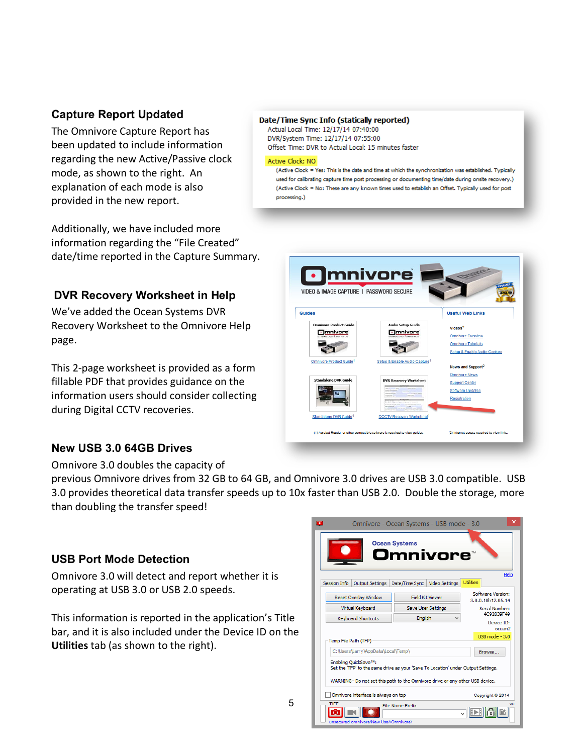#### **Capture Report Updated**

The Omnivore Capture Report has been updated to include information regarding the new Active/Passive clock mode, as shown to the right. An explanation of each mode is also provided in the new report.

Additionally, we have included more information regarding the "File Created" date/time reported in the Capture Summary.

#### **DVR Recovery Worksheet in Help**

We've added the Ocean Systems DVR Recovery Worksheet to the Omnivore Help page.

This 2-page worksheet is provided as a form fillable PDF that provides guidance on the information users should consider collecting during Digital CCTV recoveries.

#### Date/Time Sync Info (statically reported)

Actual Local Time: 12/17/14 07:40:00 DVR/System Time: 12/17/14 07:55:00 Offset Time: DVR to Actual Local: 15 minutes faster

#### Active Clock: NO

(Active Clock = Yes: This is the date and time at which the synchronization was established. Typically used for calibrating capture time post processing or documenting time/date during onsite recovery.) (Active Clock = No: These are any known times used to establish an Offset. Typically used for post processing.)

| VIDEO & IMAGE CAPTURE   PASSWORD SECURE         |                                                    | FINALIST                      |
|-------------------------------------------------|----------------------------------------------------|-------------------------------|
| <b>Guides</b>                                   |                                                    | <b>Useful Web Links</b>       |
| <b>Omnivore Product Guide</b>                   | <b>Audio Setup Guide</b>                           | Videos <sup>2</sup>           |
| mnivore<br>UTER & MADE ENTERED IN CONTROL STORE | mnivore<br>VERS 6 Block Cardinal - Autourge-Kerner | <b>Omnivore Overview</b>      |
|                                                 |                                                    | <b>Omnivore Tutorials</b>     |
|                                                 |                                                    | Setup & Enable Audio Capture  |
| Omnivore Product Guide <sup>1</sup>             | Setup & Enable Audio Capture <sup>1</sup>          | News and Support <sup>2</sup> |
|                                                 |                                                    | <b>Omnivore News</b>          |
| <b>Standalone DVR Guide</b>                     | <b>DVR Recovery Worksheet</b>                      | <b>Support Center</b>         |
|                                                 |                                                    | Software Updates              |
|                                                 |                                                    | Registration                  |
| Standalone DVR Guide <sup>1</sup>               | <b>DCCTV Recovery Worksheet1</b>                   |                               |

#### **New USB 3.0 64GB Drives**

Omnivore 3.0 doubles the capacity of

previous Omnivore drives from 32 GB to 64 GB, and Omnivore 3.0 drives are USB 3.0 compatible. USB 3.0 provides theoretical data transfer speeds up to 10x faster than USB 2.0. Double the storage, more than doubling the transfer speed!

#### **USB Port Mode Detection**

Omnivore 3.0 will detect and report whether it is operating at USB 3.0 or USB 2.0 speeds.

This information is reported in the application's Title bar, and it is also included under the Device ID on the **Utilities** tab (as shown to the right).

|                                               | Omnivore - Ocean Systems - USB mode - 3.0                                         |                                        | ×                                |
|-----------------------------------------------|-----------------------------------------------------------------------------------|----------------------------------------|----------------------------------|
|                                               | <b>Ocean Systems</b><br>Omnivore™                                                 |                                        |                                  |
| <b>Session Info</b><br><b>Output Settings</b> | Video Settings<br>Date/Time Sync                                                  | <b>Utilities</b>                       | Help                             |
| Reset Overlav Window                          | <b>Field Kit Viewer</b>                                                           | Software Version:<br>3.0.0.10b12.05.14 |                                  |
| Virtual Keyboard                              | Save User Settings                                                                |                                        | Serial Number:<br>4C92839F49     |
| <b>Keyboard Shortcuts</b>                     | English<br>v                                                                      |                                        | Device ID:<br>ocean <sub>2</sub> |
| Temp File Path (TFP)                          |                                                                                   | $1$ ISB mode $-3.0$                    |                                  |
| C:\Users\Larry\AppData\Local\Temp\            |                                                                                   | Browse                                 |                                  |
| Enabling OuickSave™:                          | Set the 'TFP' to the same drive as your 'Save To Location' under Output Settings. |                                        |                                  |
|                                               | WARNING-Do not set this path to the Omnivore drive or any other USB device.       |                                        |                                  |
| Omnivore interface is always on top           |                                                                                   | Copyright @ 2014                       |                                  |
| TIFF                                          | <b>File Name Prefix</b>                                                           |                                        | VU                               |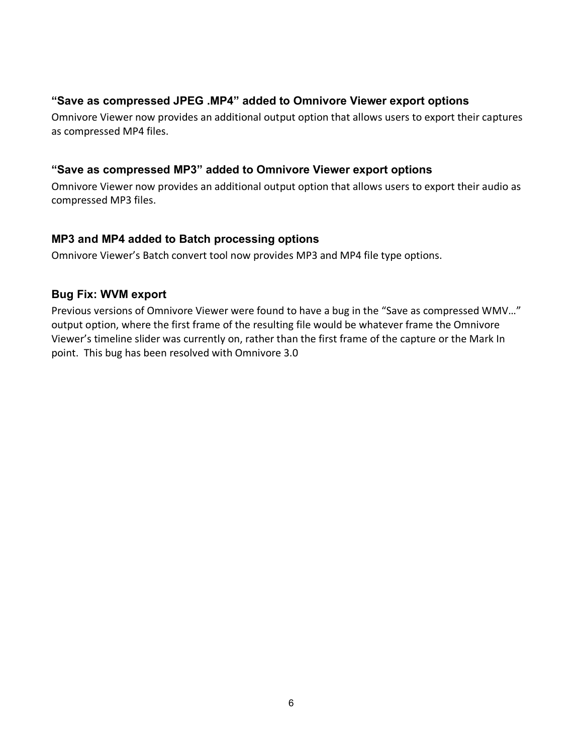#### **"Save as compressed JPEG .MP4" added to Omnivore Viewer export options**

Omnivore Viewer now provides an additional output option that allows users to export their captures as compressed MP4 files.

#### **"Save as compressed MP3" added to Omnivore Viewer export options**

Omnivore Viewer now provides an additional output option that allows users to export their audio as compressed MP3 files.

#### **MP3 and MP4 added to Batch processing options**

Omnivore Viewer's Batch convert tool now provides MP3 and MP4 file type options.

#### **Bug Fix: WVM export**

Previous versions of Omnivore Viewer were found to have a bug in the "Save as compressed WMV…" output option, where the first frame of the resulting file would be whatever frame the Omnivore Viewer's timeline slider was currently on, rather than the first frame of the capture or the Mark In point. This bug has been resolved with Omnivore 3.0